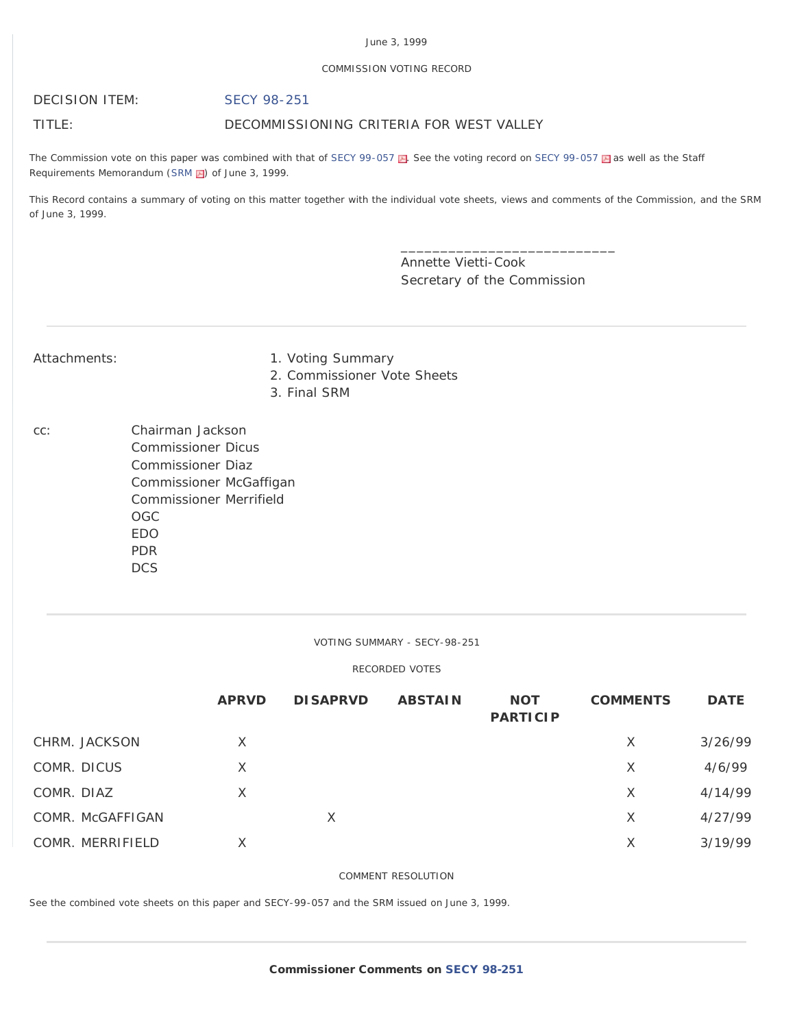# June 3, 1999

## COMMISSION VOTING RECORD

# DECISION ITEM: [SECY 98-251](http://www.nrc.gov/reading-rm/doc-collections/commission/secys/1998/secy1998-251/1998-251scy.pdf)

TITLE: DECOMMISSIONING CRITERIA FOR WEST VALLEY

The Commission vote on this paper was combined with that of [SECY 99-057](http://www.nrc.gov/reading-rm/doc-collections/commission/cvr/1999/1999-057vtr.pdf) . See the voting record on SECY 99-057 . as well as the Staff Requirements Memorandum ([SRM](http://www.nrc.gov/reading-rm/doc-collections/commission/srm/1999/1999-057srm.pdf) ) of June 3, 1999.

This Record contains a summary of voting on this matter together with the individual vote sheets, views and comments of the Commission, and the SRM of June 3, 1999.

> Annette Vietti-Cook Secretary of the Commission

\_\_\_\_\_\_\_\_\_\_\_\_\_\_\_\_\_\_\_\_\_\_\_\_\_\_\_

- Attachments: 1. Voting Summary
	- 2. Commissioner Vote Sheets
	- 3. Final SRM
- cc: Chairman Jackson Commissioner Dicus Commissioner Diaz Commissioner McGaffigan Commissioner Merrifield OGC EDO PDR DCS

# VOTING SUMMARY - SECY-98-251

# RECORDED VOTES

|            |                  | <b>APRVD</b> | <b>DISAPRVD</b> | <b>ABSTAIN</b> | <b>NOT</b><br><b>PARTICIP</b> | <b>COMMENTS</b> | <b>DATE</b> |
|------------|------------------|--------------|-----------------|----------------|-------------------------------|-----------------|-------------|
|            | CHRM. JACKSON    | X            |                 |                |                               | X               | 3/26/99     |
|            | COMR. DICUS      | $\times$     |                 |                |                               | X               | 4/6/99      |
| COMR. DIAZ |                  | $\times$     |                 |                |                               | X               | 4/14/99     |
|            | COMR. McGAFFIGAN |              | Χ               |                |                               | X               | 4/27/99     |
|            | COMR. MERRIFIELD | X            |                 |                |                               | X               | 3/19/99     |

# COMMENT RESOLUTION

See the combined vote sheets on this paper and SECY-99-057 and the SRM issued on June 3, 1999.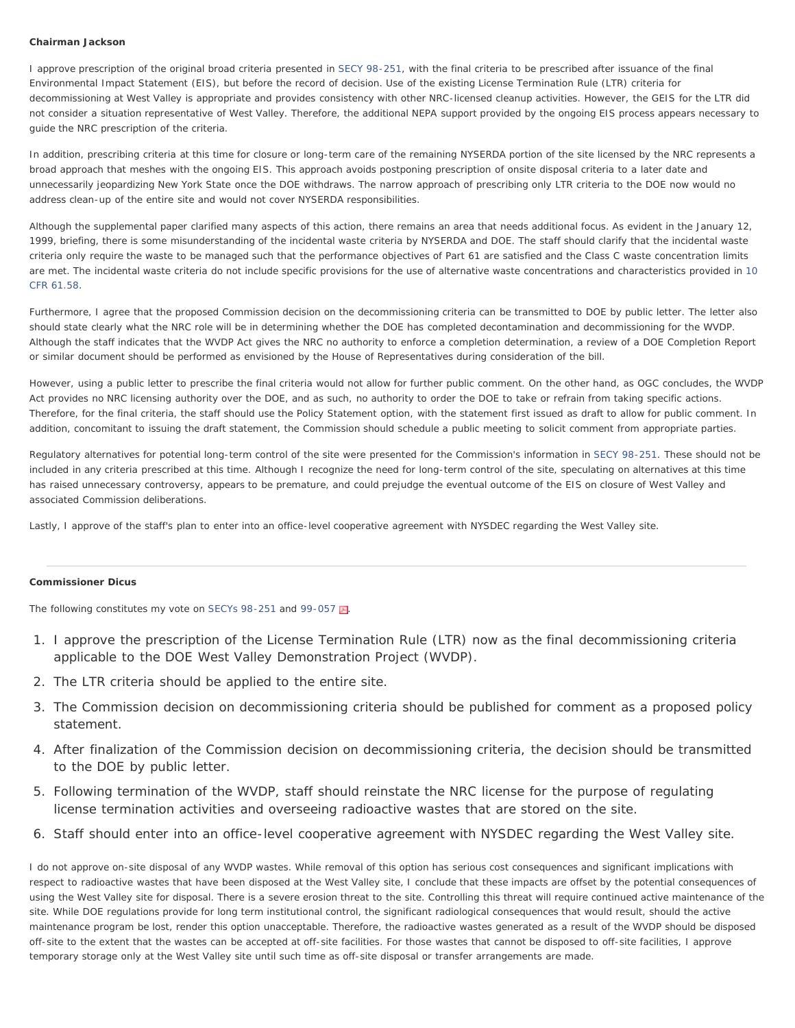#### **Chairman Jackson**

I approve prescription of the original broad criteria presented in [SECY 98-251,](http://www.nrc.gov/reading-rm/doc-collections/commission/secys/1998/secy1998-251/1998-251scy.html) with the final criteria to be prescribed after issuance of the final Environmental Impact Statement (EIS), but before the record of decision. Use of the existing License Termination Rule (LTR) criteria for decommissioning at West Valley is appropriate and provides consistency with other NRC-licensed cleanup activities. However, the GEIS for the LTR did not consider a situation representative of West Valley. Therefore, the additional NEPA support provided by the ongoing EIS process appears necessary to guide the NRC prescription of the criteria.

In addition, prescribing criteria at this time for closure or long-term care of the remaining NYSERDA portion of the site licensed by the NRC represents a broad approach that meshes with the ongoing EIS. This approach avoids postponing prescription of onsite disposal criteria to a later date and unnecessarily jeopardizing New York State once the DOE withdraws. The narrow approach of prescribing only LTR criteria to the DOE now would no address clean-up of the entire site and would not cover NYSERDA responsibilities.

Although the supplemental paper clarified many aspects of this action, there remains an area that needs additional focus. As evident in the January 12, 1999, briefing, there is some misunderstanding of the incidental waste criteria by NYSERDA and DOE. The staff should clarify that the incidental waste criteria only require the waste to be managed such that the performance objectives of Part 61 are satisfied and the Class C waste concentration limits are met. The incidental waste criteria do not include specific provisions for the use of alternative waste concentrations and characteristics provided in [10](http://www.nrc.gov/reading-rm/doc-collections/cfr/part061/part061-0058.html) [CFR 61.58.](http://www.nrc.gov/reading-rm/doc-collections/cfr/part061/part061-0058.html)

Furthermore, I agree that the proposed Commission decision on the decommissioning criteria can be transmitted to DOE by public letter. The letter also should state clearly what the NRC role will be in determining whether the DOE has completed decontamination and decommissioning for the WVDP. Although the staff indicates that the WVDP Act gives the NRC no authority to enforce a completion determination, a review of a DOE Completion Report or similar document should be performed as envisioned by the House of Representatives during consideration of the bill.

However, using a public letter to prescribe the final criteria would not allow for further public comment. On the other hand, as OGC concludes, the WVDP Act provides no NRC licensing authority over the DOE, and as such, no authority to order the DOE to take or refrain from taking specific actions. Therefore, for the final criteria, the staff should use the Policy Statement option, with the statement first issued as draft to allow for public comment. In addition, concomitant to issuing the draft statement, the Commission should schedule a public meeting to solicit comment from appropriate parties.

Regulatory alternatives for potential long-term control of the site were presented for the Commission's information in [SECY 98-251](http://www.nrc.gov/reading-rm/doc-collections/commission/secys/1998/secy1998-251/1998-251scy.html). These should not be included in any criteria prescribed at this time. Although I recognize the need for long-term control of the site, speculating on alternatives at this time has raised unnecessary controversy, appears to be premature, and could prejudge the eventual outcome of the EIS on closure of West Valley and associated Commission deliberations.

Lastly, I approve of the staff's plan to enter into an office-level cooperative agreement with NYSDEC regarding the West Valley site.

#### **Commissioner Dicus**

The following constitutes my vote on [SECYs 98-251](http://www.nrc.gov/reading-rm/doc-collections/commission/secys/1998/secy1998-251/1998-251scy.html) and [99-057](http://www.nrc.gov/reading-rm/doc-collections/commission/secys/1999/secy1999-057/1999-057scy.pdf)  $\blacksquare$ .

- 1. I approve the prescription of the License Termination Rule (LTR) now as the final decommissioning criteria applicable to the DOE West Valley Demonstration Project (WVDP).
- 2. The LTR criteria should be applied to the entire site.
- 3. The Commission decision on decommissioning criteria should be published for comment as a proposed policy statement.
- 4. After finalization of the Commission decision on decommissioning criteria, the decision should be transmitted to the DOE by public letter.
- 5. Following termination of the WVDP, staff should reinstate the NRC license for the purpose of regulating license termination activities and overseeing radioactive wastes that are stored on the site.
- 6. Staff should enter into an office-level cooperative agreement with NYSDEC regarding the West Valley site.

I do not approve on-site disposal of any WVDP wastes. While removal of this option has serious cost consequences and significant implications with respect to radioactive wastes that have been disposed at the West Valley site, I conclude that these impacts are offset by the potential consequences of using the West Valley site for disposal. There is a severe erosion threat to the site. Controlling this threat will require continued active maintenance of the site. While DOE regulations provide for long term institutional control, the significant radiological consequences that would result, should the active maintenance program be lost, render this option unacceptable. Therefore, the radioactive wastes generated as a result of the WVDP should be disposed off-site to the extent that the wastes can be accepted at off-site facilities. For those wastes that cannot be disposed to off-site facilities, I approve temporary storage only at the West Valley site until such time as off-site disposal or transfer arrangements are made.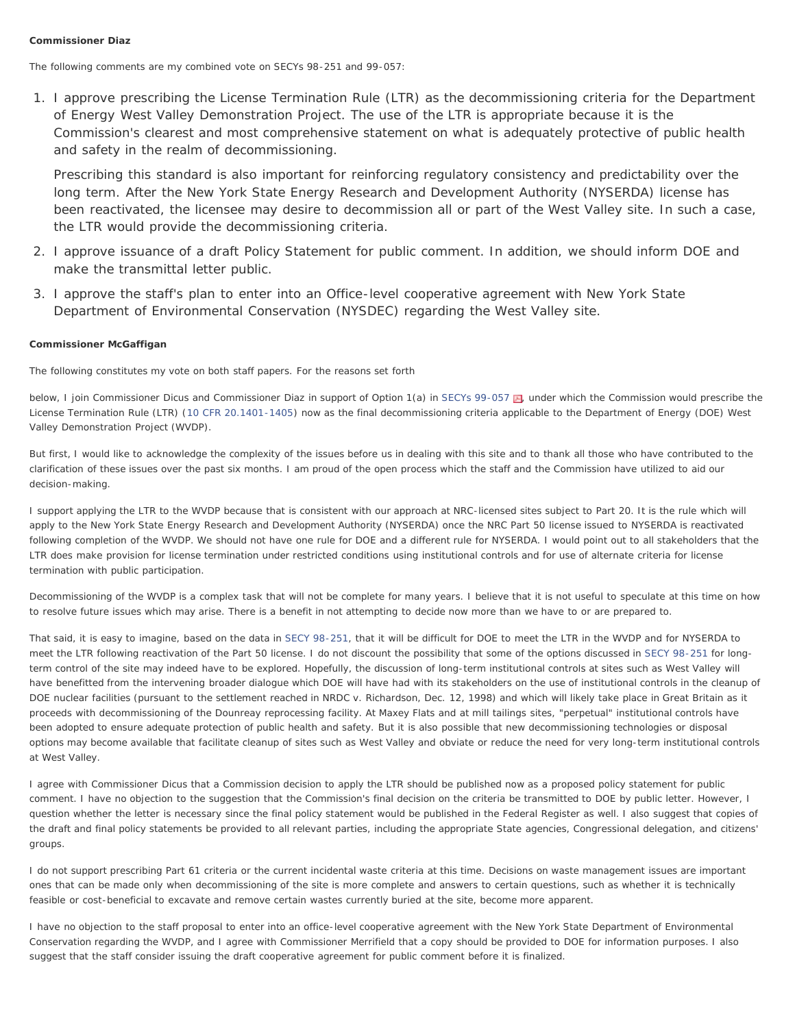# **Commissioner Diaz**

The following comments are my combined vote on SECYs 98-251 and 99-057:

1. I approve prescribing the License Termination Rule (LTR) as the decommissioning criteria for the Department of Energy West Valley Demonstration Project. The use of the LTR is appropriate because it is the Commission's clearest and most comprehensive statement on what is adequately protective of public health and safety in the realm of decommissioning.

Prescribing this standard is also important for reinforcing regulatory consistency and predictability over the long term. After the New York State Energy Research and Development Authority (NYSERDA) license has been reactivated, the licensee may desire to decommission all or part of the West Valley site. In such a case, the LTR would provide the decommissioning criteria.

- 2. I approve issuance of a draft Policy Statement for public comment. In addition, we should inform DOE and make the transmittal letter public.
- 3. I approve the staff's plan to enter into an Office-level cooperative agreement with New York State Department of Environmental Conservation (NYSDEC) regarding the West Valley site.

### **Commissioner McGaffigan**

The following constitutes my vote on both staff papers. For the reasons set forth

below, I join Commissioner Dicus and Commissioner Diaz in support of Option 1(a) in [SECYs 99-057](http://www.nrc.gov/reading-rm/doc-collections/commission/secys/1999/secy1999-057/1999-057scy.pdf)  $\blacksquare$ , under which the Commission would prescribe the License Termination Rule (LTR) ([10 CFR 20.1401-1405](http://www.nrc.gov/reading-rm/doc-collections/cfr/part020/)) now as the final decommissioning criteria applicable to the Department of Energy (DOE) West Valley Demonstration Project (WVDP).

But first, I would like to acknowledge the complexity of the issues before us in dealing with this site and to thank all those who have contributed to the clarification of these issues over the past six months. I am proud of the open process which the staff and the Commission have utilized to aid our decision-making.

I support applying the LTR to the WVDP because that is consistent with our approach at NRC-licensed sites subject to Part 20. It is the rule which will apply to the New York State Energy Research and Development Authority (NYSERDA) once the NRC Part 50 license issued to NYSERDA is reactivated following completion of the WVDP. We should not have one rule for DOE and a different rule for NYSERDA. I would point out to all stakeholders that the LTR does make provision for license termination under restricted conditions using institutional controls and for use of alternate criteria for license termination with public participation.

Decommissioning of the WVDP is a complex task that will not be complete for many years. I believe that it is not useful to speculate at this time on how to resolve future issues which may arise. There is a benefit in not attempting to decide now more than we have to or are prepared to.

That said, it is easy to imagine, based on the data in [SECY 98-251,](http://www.nrc.gov/reading-rm/doc-collections/commission/secys/1998/secy1998-251/1998-251scy.html) that it will be difficult for DOE to meet the LTR in the WVDP and for NYSERDA to meet the LTR following reactivation of the Part 50 license. I do not discount the possibility that some of the options discussed in [SECY 98-251](http://www.nrc.gov/reading-rm/doc-collections/commission/secys/1998/secy1998-251/1998-251scy.html) for longterm control of the site may indeed have to be explored. Hopefully, the discussion of long-term institutional controls at sites such as West Valley will have benefitted from the intervening broader dialogue which DOE will have had with its stakeholders on the use of institutional controls in the cleanup of DOE nuclear facilities (pursuant to the settlement reached in NRDC v. Richardson, Dec. 12, 1998) and which will likely take place in Great Britain as it proceeds with decommissioning of the Dounreay reprocessing facility. At Maxey Flats and at mill tailings sites, "perpetual" institutional controls have been adopted to ensure adequate protection of public health and safety. But it is also possible that new decommissioning technologies or disposal options may become available that facilitate cleanup of sites such as West Valley and obviate or reduce the need for very long-term institutional controls at West Valley.

I agree with Commissioner Dicus that a Commission decision to apply the LTR should be published now as a proposed policy statement for public comment. I have no objection to the suggestion that the Commission's final decision on the criteria be transmitted to DOE by public letter. However, I question whether the letter is necessary since the final policy statement would be published in the Federal Register as well. I also suggest that copies of the draft and final policy statements be provided to all relevant parties, including the appropriate State agencies, Congressional delegation, and citizens' groups.

I do not support prescribing Part 61 criteria or the current incidental waste criteria at this time. Decisions on waste management issues are important ones that can be made only when decommissioning of the site is more complete and answers to certain questions, such as whether it is technically feasible or cost-beneficial to excavate and remove certain wastes currently buried at the site, become more apparent.

I have no objection to the staff proposal to enter into an office-level cooperative agreement with the New York State Department of Environmental Conservation regarding the WVDP, and I agree with Commissioner Merrifield that a copy should be provided to DOE for information purposes. I also suggest that the staff consider issuing the draft cooperative agreement for public comment before it is finalized.